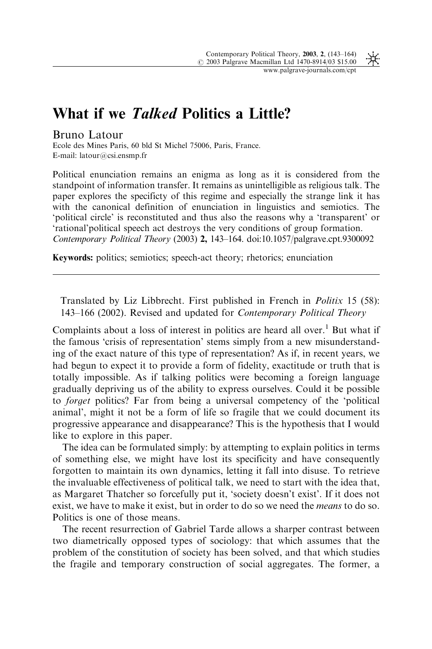# What if we *Talked* Politics a Little?

#### Bruno Latour

Ecole des Mines Paris, 60 bld St Michel 75006, Paris, France. E-mail: latour@csi.ensmp.fr

Political enunciation remains an enigma as long as it is considered from the standpoint of information transfer. It remains as unintelligible as religious talk. The paper explores the specificty of this regime and especially the strange link it has with the canonical definition of enunciation in linguistics and semiotics. The 'political circle' is reconstituted and thus also the reasons why a 'transparent' or 'rational'political speech act destroys the very conditions of group formation. Contemporary Political Theory (2003) 2, 143–164. doi:10.1057/palgrave.cpt.9300092

Keywords: politics; semiotics; speech-act theory; rhetorics; enunciation

Translated by Liz Libbrecht. First published in French in Politix 15 (58): 143–166 (2002). Revised and updated for Contemporary Political Theory

Complaints about a loss of interest in politics are heard all over.<sup>1</sup> But what if the famous 'crisis of representation' stems simply from a new misunderstanding of the exact nature of this type of representation? As if, in recent years, we had begun to expect it to provide a form of fidelity, exactitude or truth that is totally impossible. As if talking politics were becoming a foreign language gradually depriving us of the ability to express ourselves. Could it be possible to forget politics? Far from being a universal competency of the 'political animal', might it not be a form of life so fragile that we could document its progressive appearance and disappearance? This is the hypothesis that I would like to explore in this paper.

The idea can be formulated simply: by attempting to explain politics in terms of something else, we might have lost its specificity and have consequently forgotten to maintain its own dynamics, letting it fall into disuse. To retrieve the invaluable effectiveness of political talk, we need to start with the idea that, as Margaret Thatcher so forcefully put it, 'society doesn't exist'. If it does not exist, we have to make it exist, but in order to do so we need the *means* to do so. Politics is one of those means.

The recent resurrection of Gabriel Tarde allows a sharper contrast between two diametrically opposed types of sociology: that which assumes that the problem of the constitution of society has been solved, and that which studies the fragile and temporary construction of social aggregates. The former, a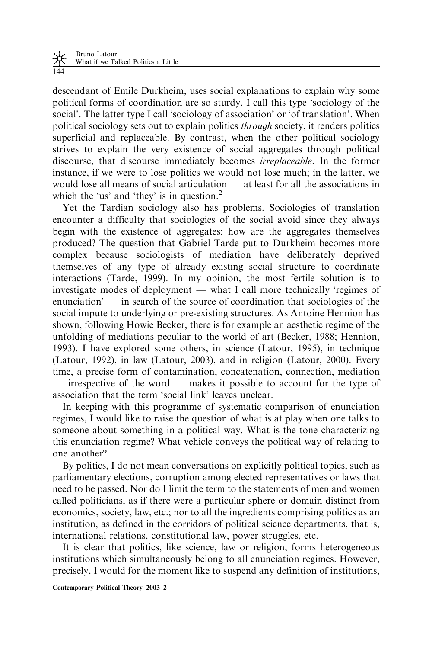descendant of Emile Durkheim, uses social explanations to explain why some political forms of coordination are so sturdy. I call this type 'sociology of the social'. The latter type I call 'sociology of association' or 'of translation'. When political sociology sets out to explain politics through society, it renders politics superficial and replaceable. By contrast, when the other political sociology strives to explain the very existence of social aggregates through political discourse, that discourse immediately becomes irreplaceable. In the former instance, if we were to lose politics we would not lose much; in the latter, we would lose all means of social articulation  $-$  at least for all the associations in which the 'us' and 'they' is in question.<sup>2</sup>

Yet the Tardian sociology also has problems. Sociologies of translation encounter a difficulty that sociologies of the social avoid since they always begin with the existence of aggregates: how are the aggregates themselves produced? The question that Gabriel Tarde put to Durkheim becomes more complex because sociologists of mediation have deliberately deprived themselves of any type of already existing social structure to coordinate interactions (Tarde, 1999). In my opinion, the most fertile solution is to investigate modes of deployment  $-$  what I call more technically 'regimes of enunciation'  $\overline{\phantom{a}}$  in search of the source of coordination that sociologies of the social impute to underlying or pre-existing structures. As Antoine Hennion has shown, following Howie Becker, there is for example an aesthetic regime of the unfolding of mediations peculiar to the world of art (Becker, 1988; Hennion, 1993). I have explored some others, in science (Latour, 1995), in technique (Latour, 1992), in law (Latour, 2003), and in religion (Latour, 2000). Every time, a precise form of contamination, concatenation, connection, mediation  $\overline{\phantom{a}}$  irrespective of the word  $\overline{\phantom{a}}$  makes it possible to account for the type of association that the term 'social link' leaves unclear.

In keeping with this programme of systematic comparison of enunciation regimes, I would like to raise the question of what is at play when one talks to someone about something in a political way. What is the tone characterizing this enunciation regime? What vehicle conveys the political way of relating to one another?

By politics, I do not mean conversations on explicitly political topics, such as parliamentary elections, corruption among elected representatives or laws that need to be passed. Nor do I limit the term to the statements of men and women called politicians, as if there were a particular sphere or domain distinct from economics, society, law, etc.; nor to all the ingredients comprising politics as an institution, as defined in the corridors of political science departments, that is, international relations, constitutional law, power struggles, etc.

It is clear that politics, like science, law or religion, forms heterogeneous institutions which simultaneously belong to all enunciation regimes. However, precisely, I would for the moment like to suspend any definition of institutions,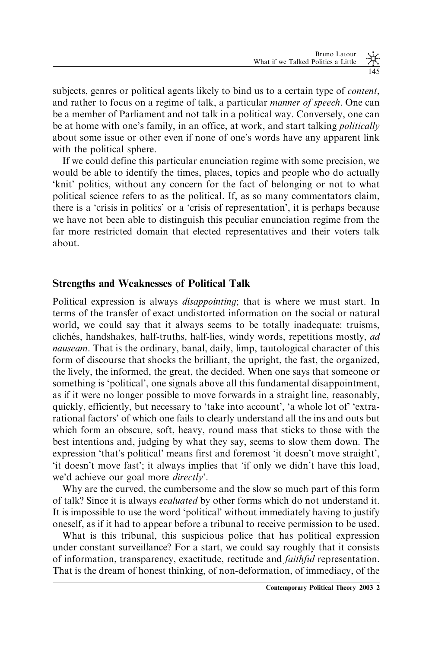subjects, genres or political agents likely to bind us to a certain type of content, and rather to focus on a regime of talk, a particular manner of speech. One can be a member of Parliament and not talk in a political way. Conversely, one can be at home with one's family, in an office, at work, and start talking politically about some issue or other even if none of one's words have any apparent link with the political sphere.

If we could define this particular enunciation regime with some precision, we would be able to identify the times, places, topics and people who do actually 'knit' politics, without any concern for the fact of belonging or not to what political science refers to as the political. If, as so many commentators claim, there is a 'crisis in politics' or a 'crisis of representation', it is perhaps because we have not been able to distinguish this peculiar enunciation regime from the far more restricted domain that elected representatives and their voters talk about.

## Strengths and Weaknesses of Political Talk

Political expression is always *disappointing*; that is where we must start. In terms of the transfer of exact undistorted information on the social or natural world, we could say that it always seems to be totally inadequate: truisms, clichés, handshakes, half-truths, half-lies, windy words, repetitions mostly, *ad* nauseam. That is the ordinary, banal, daily, limp, tautological character of this form of discourse that shocks the brilliant, the upright, the fast, the organized, the lively, the informed, the great, the decided. When one says that someone or something is 'political', one signals above all this fundamental disappointment, as if it were no longer possible to move forwards in a straight line, reasonably, quickly, efficiently, but necessary to 'take into account', 'a whole lot of' 'extrarational factors' of which one fails to clearly understand all the ins and outs but which form an obscure, soft, heavy, round mass that sticks to those with the best intentions and, judging by what they say, seems to slow them down. The expression 'that's political' means first and foremost 'it doesn't move straight', 'it doesn't move fast'; it always implies that 'if only we didn't have this load, we'd achieve our goal more *directly*'.

Why are the curved, the cumbersome and the slow so much part of this form of talk? Since it is always evaluated by other forms which do not understand it. It is impossible to use the word 'political' without immediately having to justify oneself, as if it had to appear before a tribunal to receive permission to be used.

What is this tribunal, this suspicious police that has political expression under constant surveillance? For a start, we could say roughly that it consists of information, transparency, exactitude, rectitude and faithful representation. That is the dream of honest thinking, of non-deformation, of immediacy, of the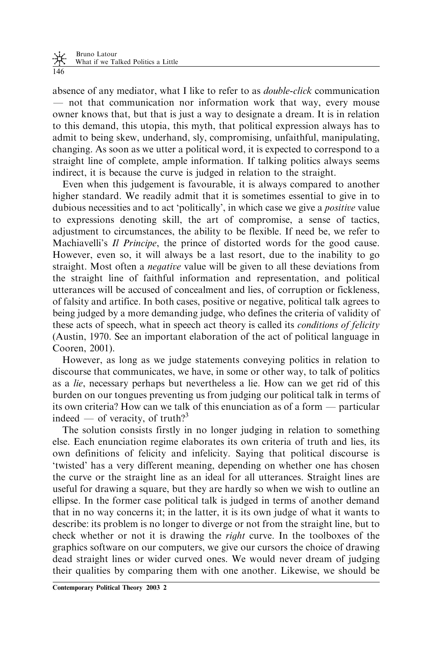absence of any mediator, what I like to refer to as double-click communication  $-$  not that communication nor information work that way, every mouse owner knows that, but that is just a way to designate a dream. It is in relation to this demand, this utopia, this myth, that political expression always has to admit to being skew, underhand, sly, compromising, unfaithful, manipulating, changing. As soon as we utter a political word, it is expected to correspond to a straight line of complete, ample information. If talking politics always seems indirect, it is because the curve is judged in relation to the straight.

Even when this judgement is favourable, it is always compared to another higher standard. We readily admit that it is sometimes essential to give in to dubious necessities and to act 'politically', in which case we give a positive value to expressions denoting skill, the art of compromise, a sense of tactics, adjustment to circumstances, the ability to be flexible. If need be, we refer to Machiavelli's *Il Principe*, the prince of distorted words for the good cause. However, even so, it will always be a last resort, due to the inability to go straight. Most often a negative value will be given to all these deviations from the straight line of faithful information and representation, and political utterances will be accused of concealment and lies, of corruption or fickleness, of falsity and artifice. In both cases, positive or negative, political talk agrees to being judged by a more demanding judge, who defines the criteria of validity of these acts of speech, what in speech act theory is called its conditions of felicity (Austin, 1970. See an important elaboration of the act of political language in Cooren, 2001).

However, as long as we judge statements conveying politics in relation to discourse that communicates, we have, in some or other way, to talk of politics as a lie, necessary perhaps but nevertheless a lie. How can we get rid of this burden on our tongues preventing us from judging our political talk in terms of its own criteria? How can we talk of this enunciation as of a form  $-$  particular indeed — of veracity, of truth?<sup>3</sup>

The solution consists firstly in no longer judging in relation to something else. Each enunciation regime elaborates its own criteria of truth and lies, its own definitions of felicity and infelicity. Saying that political discourse is 'twisted' has a very different meaning, depending on whether one has chosen the curve or the straight line as an ideal for all utterances. Straight lines are useful for drawing a square, but they are hardly so when we wish to outline an ellipse. In the former case political talk is judged in terms of another demand that in no way concerns it; in the latter, it is its own judge of what it wants to describe: its problem is no longer to diverge or not from the straight line, but to check whether or not it is drawing the right curve. In the toolboxes of the graphics software on our computers, we give our cursors the choice of drawing dead straight lines or wider curved ones. We would never dream of judging their qualities by comparing them with one another. Likewise, we should be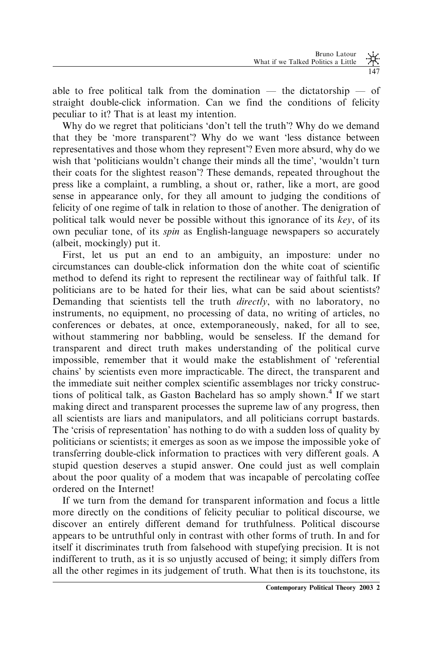able to free political talk from the domination  $-$  the dictatorship  $-$  of straight double-click information. Can we find the conditions of felicity peculiar to it? That is at least my intention.

Why do we regret that politicians 'don't tell the truth'? Why do we demand that they be 'more transparent'? Why do we want 'less distance between representatives and those whom they represent'? Even more absurd, why do we wish that 'politicians wouldn't change their minds all the time', 'wouldn't turn their coats for the slightest reason'? These demands, repeated throughout the press like a complaint, a rumbling, a shout or, rather, like a mort, are good sense in appearance only, for they all amount to judging the conditions of felicity of one regime of talk in relation to those of another. The denigration of political talk would never be possible without this ignorance of its  $key$ , of its own peculiar tone, of its spin as English-language newspapers so accurately (albeit, mockingly) put it.

First, let us put an end to an ambiguity, an imposture: under no circumstances can double-click information don the white coat of scientific method to defend its right to represent the rectilinear way of faithful talk. If politicians are to be hated for their lies, what can be said about scientists? Demanding that scientists tell the truth *directly*, with no laboratory, no instruments, no equipment, no processing of data, no writing of articles, no conferences or debates, at once, extemporaneously, naked, for all to see, without stammering nor babbling, would be senseless. If the demand for transparent and direct truth makes understanding of the political curve impossible, remember that it would make the establishment of 'referential chains' by scientists even more impracticable. The direct, the transparent and the immediate suit neither complex scientific assemblages nor tricky constructions of political talk, as Gaston Bachelard has so amply shown.<sup>4</sup> If we start making direct and transparent processes the supreme law of any progress, then all scientists are liars and manipulators, and all politicians corrupt bastards. The 'crisis of representation' has nothing to do with a sudden loss of quality by politicians or scientists; it emerges as soon as we impose the impossible yoke of transferring double-click information to practices with very different goals. A stupid question deserves a stupid answer. One could just as well complain about the poor quality of a modem that was incapable of percolating coffee ordered on the Internet!

If we turn from the demand for transparent information and focus a little more directly on the conditions of felicity peculiar to political discourse, we discover an entirely different demand for truthfulness. Political discourse appears to be untruthful only in contrast with other forms of truth. In and for itself it discriminates truth from falsehood with stupefying precision. It is not indifferent to truth, as it is so unjustly accused of being; it simply differs from all the other regimes in its judgement of truth. What then is its touchstone, its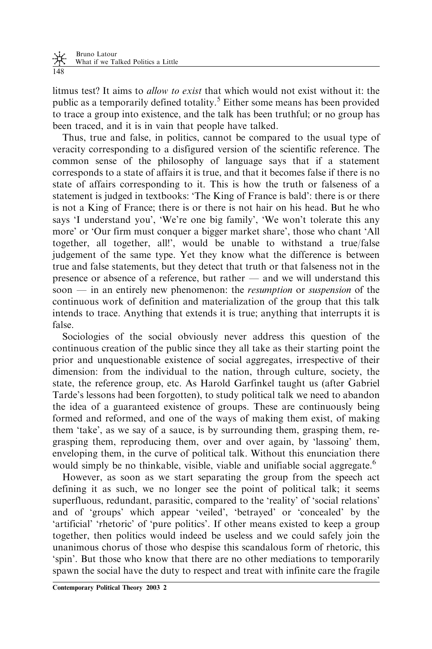litmus test? It aims to allow to exist that which would not exist without it: the public as a temporarily defined totality.<sup>5</sup> Either some means has been provided to trace a group into existence, and the talk has been truthful; or no group has been traced, and it is in vain that people have talked.

Thus, true and false, in politics, cannot be compared to the usual type of veracity corresponding to a disfigured version of the scientific reference. The common sense of the philosophy of language says that if a statement corresponds to a state of affairs it is true, and that it becomes false if there is no state of affairs corresponding to it. This is how the truth or falseness of a statement is judged in textbooks: 'The King of France is bald': there is or there is not a King of France; there is or there is not hair on his head. But he who says 'I understand you', 'We're one big family', 'We won't tolerate this any more' or 'Our firm must conquer a bigger market share', those who chant 'All together, all together, all!', would be unable to withstand a true/false judgement of the same type. Yet they know what the difference is between true and false statements, but they detect that truth or that falseness not in the presence or absence of a reference, but rather  $-$  and we will understand this soon — in an entirely new phenomenon: the *resumption* or *suspension* of the continuous work of definition and materialization of the group that this talk intends to trace. Anything that extends it is true; anything that interrupts it is false.

Sociologies of the social obviously never address this question of the continuous creation of the public since they all take as their starting point the prior and unquestionable existence of social aggregates, irrespective of their dimension: from the individual to the nation, through culture, society, the state, the reference group, etc. As Harold Garfinkel taught us (after Gabriel Tarde's lessons had been forgotten), to study political talk we need to abandon the idea of a guaranteed existence of groups. These are continuously being formed and reformed, and one of the ways of making them exist, of making them 'take', as we say of a sauce, is by surrounding them, grasping them, regrasping them, reproducing them, over and over again, by 'lassoing' them, enveloping them, in the curve of political talk. Without this enunciation there would simply be no thinkable, visible, viable and unifiable social aggregate.<sup>6</sup>

However, as soon as we start separating the group from the speech act defining it as such, we no longer see the point of political talk; it seems superfluous, redundant, parasitic, compared to the 'reality' of 'social relations' and of 'groups' which appear 'veiled', 'betrayed' or 'concealed' by the 'artificial' 'rhetoric' of 'pure politics'. If other means existed to keep a group together, then politics would indeed be useless and we could safely join the unanimous chorus of those who despise this scandalous form of rhetoric, this 'spin'. But those who know that there are no other mediations to temporarily spawn the social have the duty to respect and treat with infinite care the fragile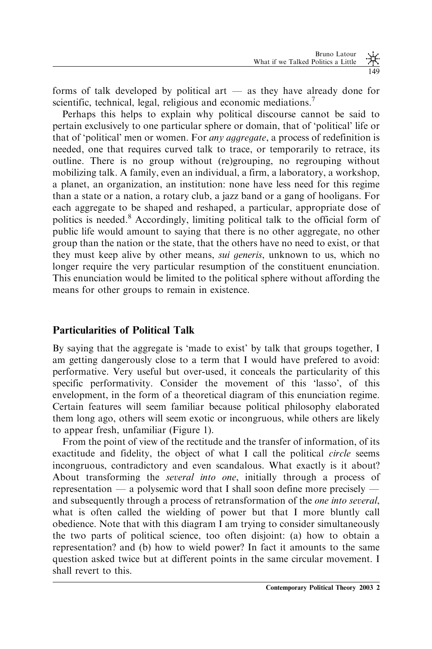forms of talk developed by political art  $-$  as they have already done for scientific, technical, legal, religious and economic mediations.<sup>7</sup>

Perhaps this helps to explain why political discourse cannot be said to pertain exclusively to one particular sphere or domain, that of 'political' life or that of 'political' men or women. For any aggregate, a process of redefinition is needed, one that requires curved talk to trace, or temporarily to retrace, its outline. There is no group without (re)grouping, no regrouping without mobilizing talk. A family, even an individual, a firm, a laboratory, a workshop, a planet, an organization, an institution: none have less need for this regime than a state or a nation, a rotary club, a jazz band or a gang of hooligans. For each aggregate to be shaped and reshaped, a particular, appropriate dose of politics is needed.<sup>8</sup> Accordingly, limiting political talk to the official form of public life would amount to saying that there is no other aggregate, no other group than the nation or the state, that the others have no need to exist, or that they must keep alive by other means, sui generis, unknown to us, which no longer require the very particular resumption of the constituent enunciation. This enunciation would be limited to the political sphere without affording the means for other groups to remain in existence.

## Particularities of Political Talk

By saying that the aggregate is 'made to exist' by talk that groups together, I am getting dangerously close to a term that I would have prefered to avoid: performative. Very useful but over-used, it conceals the particularity of this specific performativity. Consider the movement of this 'lasso', of this envelopment, in the form of a theoretical diagram of this enunciation regime. Certain features will seem familiar because political philosophy elaborated them long ago, others will seem exotic or incongruous, while others are likely to appear fresh, unfamiliar (Figure 1).

From the point of view of the rectitude and the transfer of information, of its exactitude and fidelity, the object of what I call the political *circle* seems incongruous, contradictory and even scandalous. What exactly is it about? About transforming the several into one, initially through a process of representation  $-$  a polysemic word that I shall soon define more precisely  $$ and subsequently through a process of retransformation of the one into several, what is often called the wielding of power but that I more bluntly call obedience. Note that with this diagram I am trying to consider simultaneously the two parts of political science, too often disjoint: (a) how to obtain a representation? and (b) how to wield power? In fact it amounts to the same question asked twice but at different points in the same circular movement. I shall revert to this.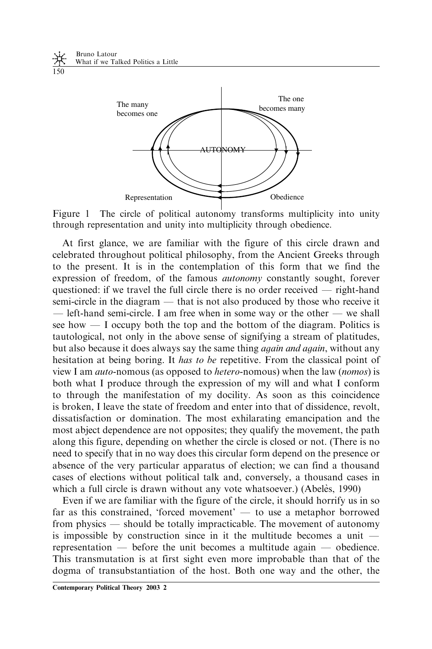



At first glance, we are familiar with the figure of this circle drawn and celebrated throughout political philosophy, from the Ancient Greeks through to the present. It is in the contemplation of this form that we find the expression of freedom, of the famous autonomy constantly sought, forever questioned: if we travel the full circle there is no order received  $-$  right-hand semi-circle in the diagram — that is not also produced by those who receive it  $-$  left-hand semi-circle. I am free when in some way or the other  $-$  we shall see how  $\overline{-1}$  occupy both the top and the bottom of the diagram. Politics is tautological, not only in the above sense of signifying a stream of platitudes, but also because it does always say the same thing *again and again*, without any hesitation at being boring. It has to be repetitive. From the classical point of view I am auto-nomous (as opposed to hetero-nomous) when the law (nomos) is both what I produce through the expression of my will and what I conform to through the manifestation of my docility. As soon as this coincidence is broken, I leave the state of freedom and enter into that of dissidence, revolt, dissatisfaction or domination. The most exhilarating emancipation and the most abject dependence are not opposites; they qualify the movement, the path along this figure, depending on whether the circle is closed or not. (There is no need to specify that in no way does this circular form depend on the presence or absence of the very particular apparatus of election; we can find a thousand cases of elections without political talk and, conversely, a thousand cases in which a full circle is drawn without any vote whatsoever.) (Abelès, 1990)

Even if we are familiar with the figure of the circle, it should horrify us in so far as this constrained, 'forced movement'  $-$  to use a metaphor borrowed from physics — should be totally impracticable. The movement of autonomy is impossible by construction since in it the multitude becomes a unit representation  $-$  before the unit becomes a multitude again  $-$  obedience. This transmutation is at first sight even more improbable than that of the dogma of transubstantiation of the host. Both one way and the other, the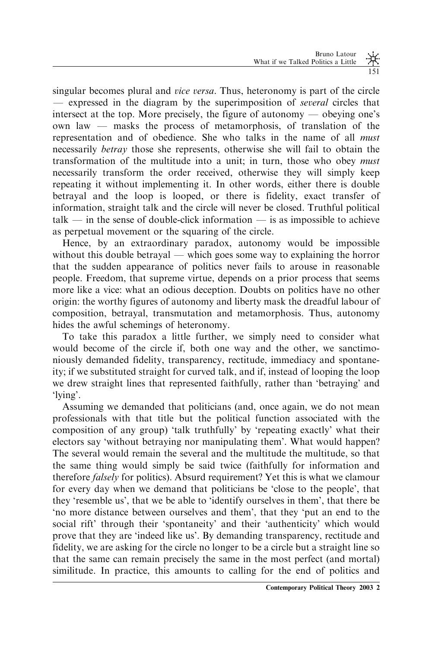singular becomes plural and vice versa. Thus, heteronomy is part of the circle - expressed in the diagram by the superimposition of *several* circles that intersect at the top. More precisely, the figure of autonomy  $-$  obeying one's own law  $-$  masks the process of metamorphosis, of translation of the representation and of obedience. She who talks in the name of all must necessarily betray those she represents, otherwise she will fail to obtain the transformation of the multitude into a unit; in turn, those who obey must necessarily transform the order received, otherwise they will simply keep repeating it without implementing it. In other words, either there is double betrayal and the loop is looped, or there is fidelity, exact transfer of information, straight talk and the circle will never be closed. Truthful political talk  $-$  in the sense of double-click information  $-$  is as impossible to achieve as perpetual movement or the squaring of the circle.

Hence, by an extraordinary paradox, autonomy would be impossible without this double betrayal  $-$  which goes some way to explaining the horror that the sudden appearance of politics never fails to arouse in reasonable people. Freedom, that supreme virtue, depends on a prior process that seems more like a vice: what an odious deception. Doubts on politics have no other origin: the worthy figures of autonomy and liberty mask the dreadful labour of composition, betrayal, transmutation and metamorphosis. Thus, autonomy hides the awful schemings of heteronomy.

To take this paradox a little further, we simply need to consider what would become of the circle if, both one way and the other, we sanctimoniously demanded fidelity, transparency, rectitude, immediacy and spontaneity; if we substituted straight for curved talk, and if, instead of looping the loop we drew straight lines that represented faithfully, rather than 'betraying' and 'lying'.

Assuming we demanded that politicians (and, once again, we do not mean professionals with that title but the political function associated with the composition of any group) 'talk truthfully' by 'repeating exactly' what their electors say 'without betraying nor manipulating them'. What would happen? The several would remain the several and the multitude the multitude, so that the same thing would simply be said twice (faithfully for information and therefore falsely for politics). Absurd requirement? Yet this is what we clamour for every day when we demand that politicians be 'close to the people', that they 'resemble us', that we be able to 'identify ourselves in them', that there be 'no more distance between ourselves and them', that they 'put an end to the social rift' through their 'spontaneity' and their 'authenticity' which would prove that they are 'indeed like us'. By demanding transparency, rectitude and fidelity, we are asking for the circle no longer to be a circle but a straight line so that the same can remain precisely the same in the most perfect (and mortal) similitude. In practice, this amounts to calling for the end of politics and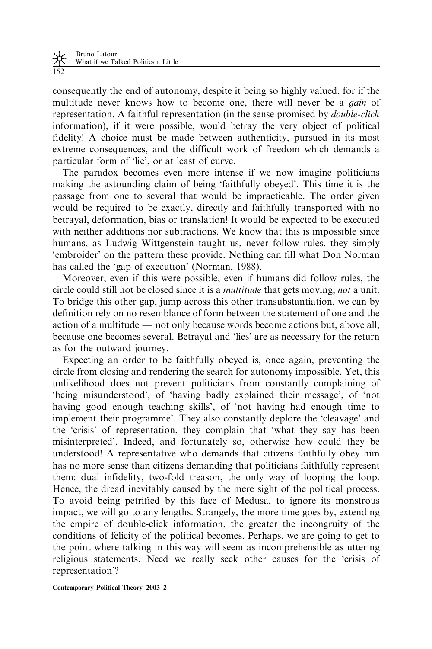consequently the end of autonomy, despite it being so highly valued, for if the multitude never knows how to become one, there will never be a *gain* of representation. A faithful representation (in the sense promised by *double-click* information), if it were possible, would betray the very object of political fidelity! A choice must be made between authenticity, pursued in its most extreme consequences, and the difficult work of freedom which demands a particular form of 'lie', or at least of curve.

The paradox becomes even more intense if we now imagine politicians making the astounding claim of being 'faithfully obeyed'. This time it is the passage from one to several that would be impracticable. The order given would be required to be exactly, directly and faithfully transported with no betrayal, deformation, bias or translation! It would be expected to be executed with neither additions nor subtractions. We know that this is impossible since humans, as Ludwig Wittgenstein taught us, never follow rules, they simply 'embroider' on the pattern these provide. Nothing can fill what Don Norman has called the 'gap of execution' (Norman, 1988).

Moreover, even if this were possible, even if humans did follow rules, the circle could still not be closed since it is a *multitude* that gets moving, *not* a unit. To bridge this other gap, jump across this other transubstantiation, we can by definition rely on no resemblance of form between the statement of one and the action of a multitude  $-$  not only because words become actions but, above all, because one becomes several. Betrayal and 'lies' are as necessary for the return as for the outward journey.

Expecting an order to be faithfully obeyed is, once again, preventing the circle from closing and rendering the search for autonomy impossible. Yet, this unlikelihood does not prevent politicians from constantly complaining of 'being misunderstood', of 'having badly explained their message', of 'not having good enough teaching skills', of 'not having had enough time to implement their programme'. They also constantly deplore the 'cleavage' and the 'crisis' of representation, they complain that 'what they say has been misinterpreted'. Indeed, and fortunately so, otherwise how could they be understood! A representative who demands that citizens faithfully obey him has no more sense than citizens demanding that politicians faithfully represent them: dual infidelity, two-fold treason, the only way of looping the loop. Hence, the dread inevitably caused by the mere sight of the political process. To avoid being petrified by this face of Medusa, to ignore its monstrous impact, we will go to any lengths. Strangely, the more time goes by, extending the empire of double-click information, the greater the incongruity of the conditions of felicity of the political becomes. Perhaps, we are going to get to the point where talking in this way will seem as incomprehensible as uttering religious statements. Need we really seek other causes for the 'crisis of representation'?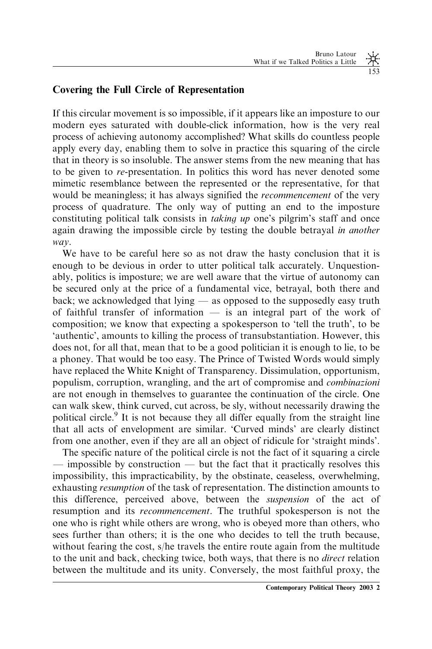## Covering the Full Circle of Representation

If this circular movement is so impossible, if it appears like an imposture to our modern eyes saturated with double-click information, how is the very real process of achieving autonomy accomplished? What skills do countless people apply every day, enabling them to solve in practice this squaring of the circle that in theory is so insoluble. The answer stems from the new meaning that has to be given to re-presentation. In politics this word has never denoted some mimetic resemblance between the represented or the representative, for that would be meaningless; it has always signified the *recommencement* of the very process of quadrature. The only way of putting an end to the imposture constituting political talk consists in taking up one's pilgrim's staff and once again drawing the impossible circle by testing the double betrayal in another way.

We have to be careful here so as not draw the hasty conclusion that it is enough to be devious in order to utter political talk accurately. Unquestionably, politics is imposture; we are well aware that the virtue of autonomy can be secured only at the price of a fundamental vice, betrayal, both there and back; we acknowledged that lying  $-$  as opposed to the supposedly easy truth of faithful transfer of information  $-$  is an integral part of the work of composition; we know that expecting a spokesperson to 'tell the truth', to be 'authentic', amounts to killing the process of transubstantiation. However, this does not, for all that, mean that to be a good politician it is enough to lie, to be a phoney. That would be too easy. The Prince of Twisted Words would simply have replaced the White Knight of Transparency. Dissimulation, opportunism, populism, corruption, wrangling, and the art of compromise and combinazioni are not enough in themselves to guarantee the continuation of the circle. One can walk skew, think curved, cut across, be sly, without necessarily drawing the political circle.<sup>9</sup> It is not because they all differ equally from the straight line that all acts of envelopment are similar. 'Curved minds' are clearly distinct from one another, even if they are all an object of ridicule for 'straight minds'.

The specific nature of the political circle is not the fact of it squaring a circle  $\overline{\phantom{a}}$  impossible by construction  $\overline{\phantom{a}}$  but the fact that it practically resolves this impossibility, this impracticability, by the obstinate, ceaseless, overwhelming, exhausting resumption of the task of representation. The distinction amounts to this difference, perceived above, between the suspension of the act of resumption and its recommencement. The truthful spokesperson is not the one who is right while others are wrong, who is obeyed more than others, who sees further than others; it is the one who decides to tell the truth because, without fearing the cost, s/he travels the entire route again from the multitude to the unit and back, checking twice, both ways, that there is no direct relation between the multitude and its unity. Conversely, the most faithful proxy, the

153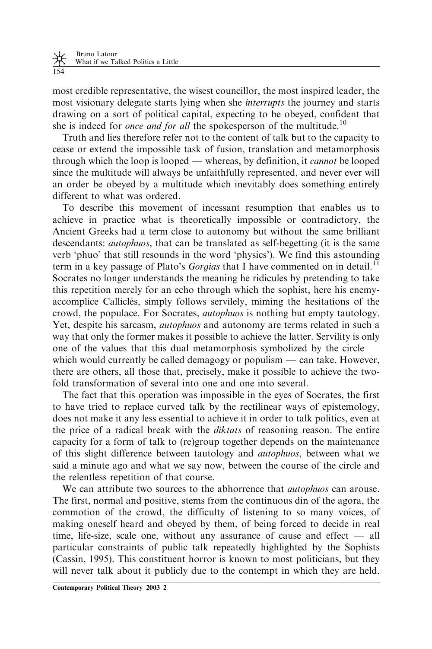most credible representative, the wisest councillor, the most inspired leader, the most visionary delegate starts lying when she interrupts the journey and starts drawing on a sort of political capital, expecting to be obeyed, confident that she is indeed for *once and for all* the spokesperson of the multitude.<sup>10</sup>

Truth and lies therefore refer not to the content of talk but to the capacity to cease or extend the impossible task of fusion, translation and metamorphosis through which the loop is looped  $-$  whereas, by definition, it *cannot* be looped since the multitude will always be unfaithfully represented, and never ever will an order be obeyed by a multitude which inevitably does something entirely different to what was ordered.

To describe this movement of incessant resumption that enables us to achieve in practice what is theoretically impossible or contradictory, the Ancient Greeks had a term close to autonomy but without the same brilliant descendants: autophuos, that can be translated as self-begetting (it is the same verb 'phuo' that still resounds in the word 'physics'). We find this astounding term in a key passage of Plato's Gorgias that I have commented on in detail.<sup>11</sup> Socrates no longer understands the meaning he ridicules by pretending to take this repetition merely for an echo through which the sophist, here his enemyaccomplice Callicle`s, simply follows servilely, miming the hesitations of the crowd, the populace. For Socrates, autophuos is nothing but empty tautology. Yet, despite his sarcasm, autophuos and autonomy are terms related in such a way that only the former makes it possible to achieve the latter. Servility is only one of the values that this dual metamorphosis symbolized by the circle  $$ which would currently be called demagogy or populism  $-$  can take. However, there are others, all those that, precisely, make it possible to achieve the twofold transformation of several into one and one into several.

The fact that this operation was impossible in the eyes of Socrates, the first to have tried to replace curved talk by the rectilinear ways of epistemology, does not make it any less essential to achieve it in order to talk politics, even at the price of a radical break with the diktats of reasoning reason. The entire capacity for a form of talk to (re)group together depends on the maintenance of this slight difference between tautology and autophuos, between what we said a minute ago and what we say now, between the course of the circle and the relentless repetition of that course.

We can attribute two sources to the abhorrence that *autophuos* can arouse. The first, normal and positive, stems from the continuous din of the agora, the commotion of the crowd, the difficulty of listening to so many voices, of making oneself heard and obeyed by them, of being forced to decide in real time, life-size, scale one, without any assurance of cause and effect  $-$  all particular constraints of public talk repeatedly highlighted by the Sophists (Cassin, 1995). This constituent horror is known to most politicians, but they will never talk about it publicly due to the contempt in which they are held.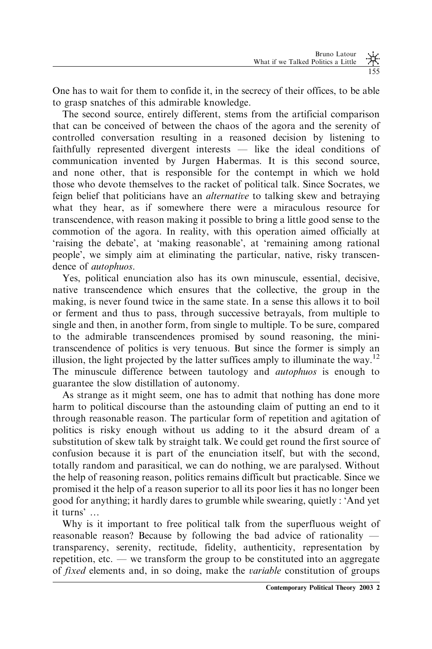One has to wait for them to confide it, in the secrecy of their offices, to be able to grasp snatches of this admirable knowledge.

The second source, entirely different, stems from the artificial comparison that can be conceived of between the chaos of the agora and the serenity of controlled conversation resulting in a reasoned decision by listening to faithfully represented divergent interests  $-$  like the ideal conditions of communication invented by Jurgen Habermas. It is this second source, and none other, that is responsible for the contempt in which we hold those who devote themselves to the racket of political talk. Since Socrates, we feign belief that politicians have an alternative to talking skew and betraying what they hear, as if somewhere there were a miraculous resource for transcendence, with reason making it possible to bring a little good sense to the commotion of the agora. In reality, with this operation aimed officially at 'raising the debate', at 'making reasonable', at 'remaining among rational people', we simply aim at eliminating the particular, native, risky transcendence of autophuos.

Yes, political enunciation also has its own minuscule, essential, decisive, native transcendence which ensures that the collective, the group in the making, is never found twice in the same state. In a sense this allows it to boil or ferment and thus to pass, through successive betrayals, from multiple to single and then, in another form, from single to multiple. To be sure, compared to the admirable transcendences promised by sound reasoning, the minitranscendence of politics is very tenuous. But since the former is simply an illusion, the light projected by the latter suffices amply to illuminate the way.<sup>12</sup> The minuscule difference between tautology and autophuos is enough to guarantee the slow distillation of autonomy.

As strange as it might seem, one has to admit that nothing has done more harm to political discourse than the astounding claim of putting an end to it through reasonable reason. The particular form of repetition and agitation of politics is risky enough without us adding to it the absurd dream of a substitution of skew talk by straight talk. We could get round the first source of confusion because it is part of the enunciation itself, but with the second, totally random and parasitical, we can do nothing, we are paralysed. Without the help of reasoning reason, politics remains difficult but practicable. Since we promised it the help of a reason superior to all its poor lies it has no longer been good for anything; it hardly dares to grumble while swearing, quietly : 'And yet it turns'  $\dots$ 

Why is it important to free political talk from the superfluous weight of reasonable reason? Because by following the bad advice of rationality  $$ transparency, serenity, rectitude, fidelity, authenticity, representation by repetition, etc.  $-$  we transform the group to be constituted into an aggregate of fixed elements and, in so doing, make the variable constitution of groups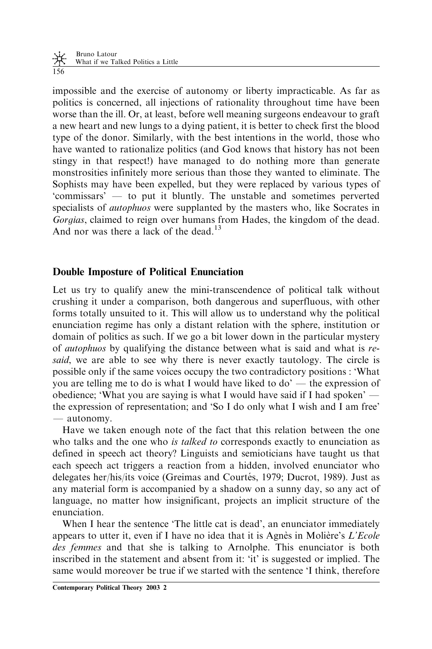impossible and the exercise of autonomy or liberty impracticable. As far as politics is concerned, all injections of rationality throughout time have been worse than the ill. Or, at least, before well meaning surgeons endeavour to graft a new heart and new lungs to a dying patient, it is better to check first the blood type of the donor. Similarly, with the best intentions in the world, those who have wanted to rationalize politics (and God knows that history has not been stingy in that respect!) have managed to do nothing more than generate monstrosities infinitely more serious than those they wanted to eliminate. The Sophists may have been expelled, but they were replaced by various types of 'commissars' — to put it bluntly. The unstable and sometimes perverted specialists of *autophuos* were supplanted by the masters who, like Socrates in Gorgias, claimed to reign over humans from Hades, the kingdom of the dead. And nor was there a lack of the dead.<sup>13</sup>

# Double Imposture of Political Enunciation

Let us try to qualify anew the mini-transcendence of political talk without crushing it under a comparison, both dangerous and superfluous, with other forms totally unsuited to it. This will allow us to understand why the political enunciation regime has only a distant relation with the sphere, institution or domain of politics as such. If we go a bit lower down in the particular mystery of autophuos by qualifying the distance between what is said and what is resaid, we are able to see why there is never exactly tautology. The circle is possible only if the same voices occupy the two contradictory positions : 'What you are telling me to do is what I would have liked to do'  $-$  the expression of obedience; 'What you are saying is what I would have said if I had spoken'  $$ the expression of representation; and 'So I do only what I wish and I am free' — autonomy.

Have we taken enough note of the fact that this relation between the one who talks and the one who *is talked to* corresponds exactly to enunciation as defined in speech act theory? Linguists and semioticians have taught us that each speech act triggers a reaction from a hidden, involved enunciator who delegates her/his/its voice (Greimas and Courtés, 1979; Ducrot, 1989). Just as any material form is accompanied by a shadow on a sunny day, so any act of language, no matter how insignificant, projects an implicit structure of the enunciation.

When I hear the sentence 'The little cat is dead', an enunciator immediately appears to utter it, even if I have no idea that it is Agnès in Molière's  $L'Ecole$ des femmes and that she is talking to Arnolphe. This enunciator is both inscribed in the statement and absent from it: 'it' is suggested or implied. The same would moreover be true if we started with the sentence 'I think, therefore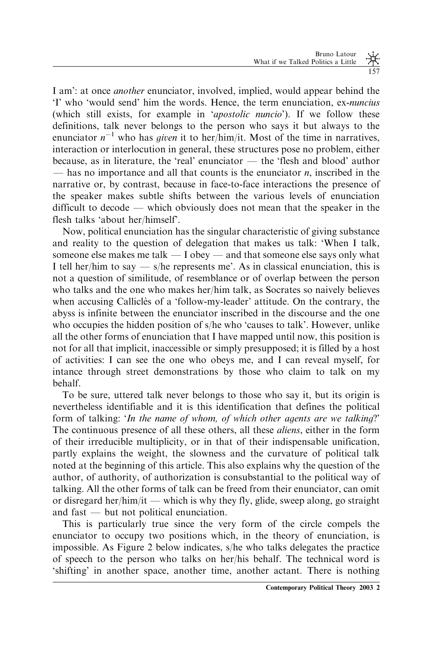I am': at once another enunciator, involved, implied, would appear behind the 'I' who 'would send' him the words. Hence, the term enunciation, ex-nuncius (which still exists, for example in 'apostolic nuncio'). If we follow these definitions, talk never belongs to the person who says it but always to the enunciator  $n^{-1}$  who has *given* it to her/him/it. Most of the time in narratives, interaction or interlocution in general, these structures pose no problem, either because, as in literature, the 'real' enunciator  $-$  the 'flesh and blood' author  $\overline{\phantom{a}}$  has no importance and all that counts is the enunciator *n*, inscribed in the narrative or, by contrast, because in face-to-face interactions the presence of the speaker makes subtle shifts between the various levels of enunciation difficult to decode  $-$  which obviously does not mean that the speaker in the flesh talks 'about her/himself'.

Now, political enunciation has the singular characteristic of giving substance and reality to the question of delegation that makes us talk: 'When I talk, someone else makes me talk  $\overline{-1}$  obey  $\overline{-}$  and that someone else says only what I tell her/him to say  $-$  s/he represents me'. As in classical enunciation, this is not a question of similitude, of resemblance or of overlap between the person who talks and the one who makes her/him talk, as Socrates so naively believes when accusing Callicles of a 'follow-my-leader' attitude. On the contrary, the abyss is infinite between the enunciator inscribed in the discourse and the one who occupies the hidden position of s/he who 'causes to talk'. However, unlike all the other forms of enunciation that I have mapped until now, this position is not for all that implicit, inaccessible or simply presupposed; it is filled by a host of activities: I can see the one who obeys me, and I can reveal myself, for intance through street demonstrations by those who claim to talk on my behalf.

To be sure, uttered talk never belongs to those who say it, but its origin is nevertheless identifiable and it is this identification that defines the political form of talking: 'In the name of whom, of which other agents are we talking?' The continuous presence of all these others, all these aliens, either in the form of their irreducible multiplicity, or in that of their indispensable unification, partly explains the weight, the slowness and the curvature of political talk noted at the beginning of this article. This also explains why the question of the author, of authority, of authorization is consubstantial to the political way of talking. All the other forms of talk can be freed from their enunciator, can omit or disregard her/him/it  $-$  which is why they fly, glide, sweep along, go straight and fast  $-$  but not political enunciation.

This is particularly true since the very form of the circle compels the enunciator to occupy two positions which, in the theory of enunciation, is impossible. As Figure 2 below indicates, s/he who talks delegates the practice of speech to the person who talks on her/his behalf. The technical word is 'shifting' in another space, another time, another actant. There is nothing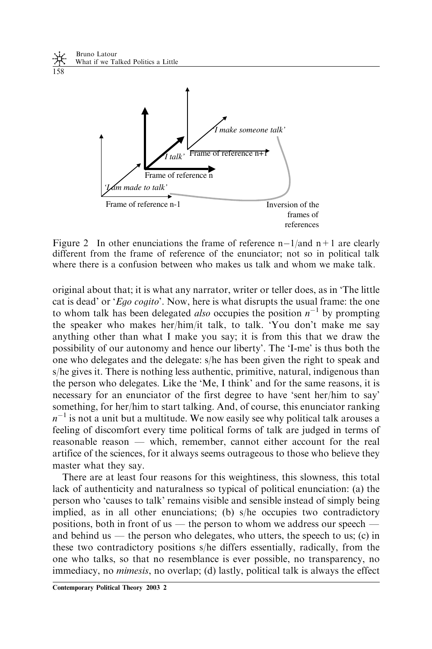

Figure 2 In other enunciations the frame of reference  $n-1/$ and  $n+1$  are clearly different from the frame of reference of the enunciator; not so in political talk where there is a confusion between who makes us talk and whom we make talk.

original about that; it is what any narrator, writer or teller does, as in 'The little cat is dead' or 'Ego cogito'. Now, here is what disrupts the usual frame: the one to whom talk has been delegated *also* occupies the position  $n^{-1}$  by prompting the speaker who makes her/him/it talk, to talk. 'You don't make me say anything other than what I make you say; it is from this that we draw the possibility of our autonomy and hence our liberty'. The 'I-me' is thus both the one who delegates and the delegate: s/he has been given the right to speak and s/he gives it. There is nothing less authentic, primitive, natural, indigenous than the person who delegates. Like the 'Me, I think' and for the same reasons, it is necessary for an enunciator of the first degree to have 'sent her/him to say' something, for her/him to start talking. And, of course, this enunciator ranking  $n^{-1}$  is not a unit but a multitude. We now easily see why political talk arouses a feeling of discomfort every time political forms of talk are judged in terms of reasonable reason  $-$  which, remember, cannot either account for the real artifice of the sciences, for it always seems outrageous to those who believe they master what they say.

There are at least four reasons for this weightiness, this slowness, this total lack of authenticity and naturalness so typical of political enunciation: (a) the person who 'causes to talk' remains visible and sensible instead of simply being implied, as in all other enunciations; (b) s/he occupies two contradictory positions, both in front of us  $-$  the person to whom we address our speech  $$ and behind us — the person who delegates, who utters, the speech to us; (c) in these two contradictory positions s/he differs essentially, radically, from the one who talks, so that no resemblance is ever possible, no transparency, no immediacy, no mimesis, no overlap; (d) lastly, political talk is always the effect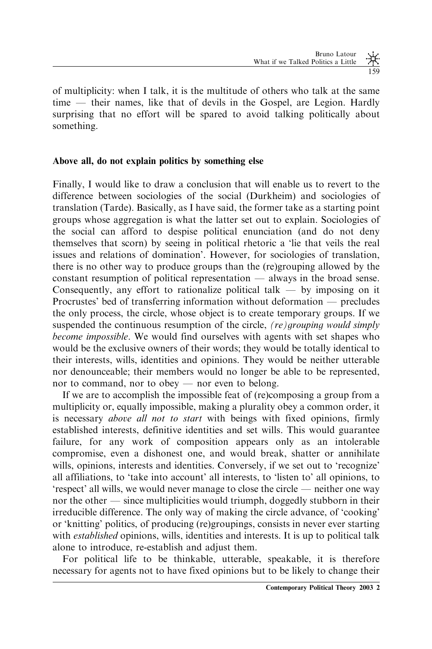of multiplicity: when I talk, it is the multitude of others who talk at the same time — their names, like that of devils in the Gospel, are Legion. Hardly surprising that no effort will be spared to avoid talking politically about something.

### Above all, do not explain politics by something else

Finally, I would like to draw a conclusion that will enable us to revert to the difference between sociologies of the social (Durkheim) and sociologies of translation (Tarde). Basically, as I have said, the former take as a starting point groups whose aggregation is what the latter set out to explain. Sociologies of the social can afford to despise political enunciation (and do not deny themselves that scorn) by seeing in political rhetoric a 'lie that veils the real issues and relations of domination'. However, for sociologies of translation, there is no other way to produce groups than the (re)grouping allowed by the constant resumption of political representation — always in the broad sense. Consequently, any effort to rationalize political talk  $-$  by imposing on it Procrustes' bed of transferring information without deformation — precludes the only process, the circle, whose object is to create temporary groups. If we suspended the continuous resumption of the circle,  $(re)$  *grouping would simply* become impossible. We would find ourselves with agents with set shapes who would be the exclusive owners of their words; they would be totally identical to their interests, wills, identities and opinions. They would be neither utterable nor denounceable; their members would no longer be able to be represented, nor to command, nor to obey  $-$  nor even to belong.

If we are to accomplish the impossible feat of (re)composing a group from a multiplicity or, equally impossible, making a plurality obey a common order, it is necessary above all not to start with beings with fixed opinions, firmly established interests, definitive identities and set wills. This would guarantee failure, for any work of composition appears only as an intolerable compromise, even a dishonest one, and would break, shatter or annihilate wills, opinions, interests and identities. Conversely, if we set out to 'recognize' all affiliations, to 'take into account' all interests, to 'listen to' all opinions, to 'respect' all wills, we would never manage to close the circle — neither one way nor the other  $-$  since multiplicities would triumph, doggedly stubborn in their irreducible difference. The only way of making the circle advance, of 'cooking' or 'knitting' politics, of producing (re)groupings, consists in never ever starting with *established* opinions, wills, identities and interests. It is up to political talk alone to introduce, re-establish and adjust them.

For political life to be thinkable, utterable, speakable, it is therefore necessary for agents not to have fixed opinions but to be likely to change their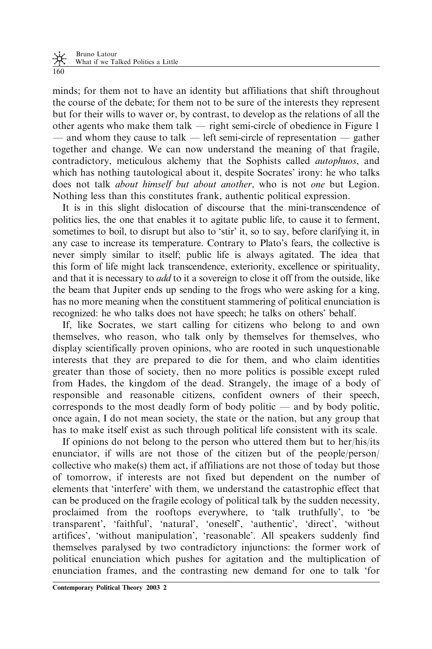minds; for them not to have an identity but affiliations that shift throughout the course of the debate; for them not to be sure of the interests they represent but for their wills to waver or, by contrast, to develop as the relations of all the other agents who make them talk  $-$  right semi-circle of obedience in Figure 1  $-$  and whom they cause to talk  $-$  left semi-circle of representation  $-$  gather together and change. We can now understand the meaning of that fragile, contradictory, meticulous alchemy that the Sophists called autophuos, and which has nothing tautological about it, despite Socrates' irony: he who talks does not talk about himself but about another, who is not one but Legion. Nothing less than this constitutes frank, authentic political expression.

It is in this slight dislocation of discourse that the mini-transcendence of politics lies, the one that enables it to agitate public life, to cause it to ferment, sometimes to boil, to disrupt but also to 'stir' it, so to say, before clarifying it, in any case to increase its temperature. Contrary to Plato's fears, the collective is never simply similar to itself; public life is always agitated. The idea that this form of life might lack transcendence, exteriority, excellence or spirituality, and that it is necessary to *add* to it a sovereign to close it off from the outside, like the beam that Jupiter ends up sending to the frogs who were asking for a king, has no more meaning when the constituent stammering of political enunciation is recognized: he who talks does not have speech; he talks on others' behalf.

If, like Socrates, we start calling for citizens who belong to and own themselves, who reason, who talk only by themselves for themselves, who display scientifically proven opinions, who are rooted in such unquestionable interests that they are prepared to die for them, and who claim identities greater than those of society, then no more politics is possible except ruled from Hades, the kingdom of the dead. Strangely, the image of a body of responsible and reasonable citizens, confident owners of their speech, corresponds to the most deadly form of body politic  $-$  and by body politic, once again, I do not mean society, the state or the nation, but any group that has to make itself exist as such through political life consistent with its scale.

If opinions do not belong to the person who uttered them but to her/his/its enunciator, if wills are not those of the citizen but of the people/person/ collective who make(s) them act, if affiliations are not those of today but those of tomorrow, if interests are not fixed but dependent on the number of elements that 'interfere' with them, we understand the catastrophic effect that can be produced on the fragile ecology of political talk by the sudden necessity, proclaimed from the rooftops everywhere, to 'talk truthfully', to 'be transparent', 'faithful', 'natural', 'oneself', 'authentic', 'direct', 'without artifices', 'without manipulation', 'reasonable'. All speakers suddenly find themselves paralysed by two contradictory injunctions: the former work of political enunciation which pushes for agitation and the multiplication of enunciation frames, and the contrasting new demand for one to talk 'for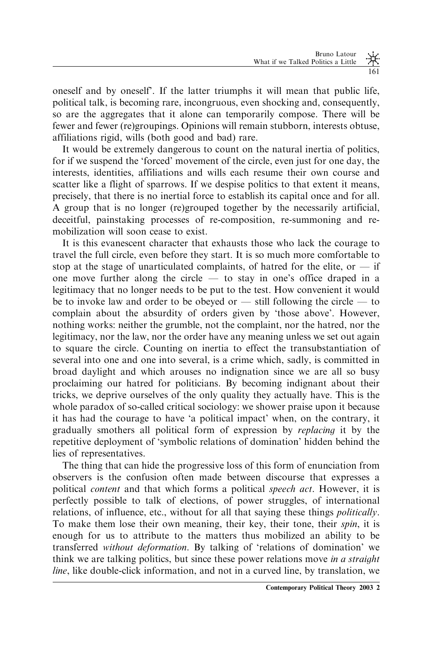oneself and by oneself'. If the latter triumphs it will mean that public life, political talk, is becoming rare, incongruous, even shocking and, consequently, so are the aggregates that it alone can temporarily compose. There will be fewer and fewer (re)groupings. Opinions will remain stubborn, interests obtuse, affiliations rigid, wills (both good and bad) rare.

It would be extremely dangerous to count on the natural inertia of politics, for if we suspend the 'forced' movement of the circle, even just for one day, the interests, identities, affiliations and wills each resume their own course and scatter like a flight of sparrows. If we despise politics to that extent it means, precisely, that there is no inertial force to establish its capital once and for all. A group that is no longer (re)grouped together by the necessarily artificial, deceitful, painstaking processes of re-composition, re-summoning and remobilization will soon cease to exist.

It is this evanescent character that exhausts those who lack the courage to travel the full circle, even before they start. It is so much more comfortable to stop at the stage of unarticulated complaints, of hatred for the elite, or  $-$  if one move further along the circle  $-$  to stay in one's office draped in a legitimacy that no longer needs to be put to the test. How convenient it would be to invoke law and order to be obeyed or  $-$  still following the circle  $-$  to complain about the absurdity of orders given by 'those above'. However, nothing works: neither the grumble, not the complaint, nor the hatred, nor the legitimacy, nor the law, nor the order have any meaning unless we set out again to square the circle. Counting on inertia to effect the transubstantiation of several into one and one into several, is a crime which, sadly, is committed in broad daylight and which arouses no indignation since we are all so busy proclaiming our hatred for politicians. By becoming indignant about their tricks, we deprive ourselves of the only quality they actually have. This is the whole paradox of so-called critical sociology: we shower praise upon it because it has had the courage to have 'a political impact' when, on the contrary, it gradually smothers all political form of expression by replacing it by the repetitive deployment of 'symbolic relations of domination' hidden behind the lies of representatives.

The thing that can hide the progressive loss of this form of enunciation from observers is the confusion often made between discourse that expresses a political content and that which forms a political speech act. However, it is perfectly possible to talk of elections, of power struggles, of international relations, of influence, etc., without for all that saying these things politically. To make them lose their own meaning, their key, their tone, their spin, it is enough for us to attribute to the matters thus mobilized an ability to be transferred without deformation. By talking of 'relations of domination' we think we are talking politics, but since these power relations move in a straight line, like double-click information, and not in a curved line, by translation, we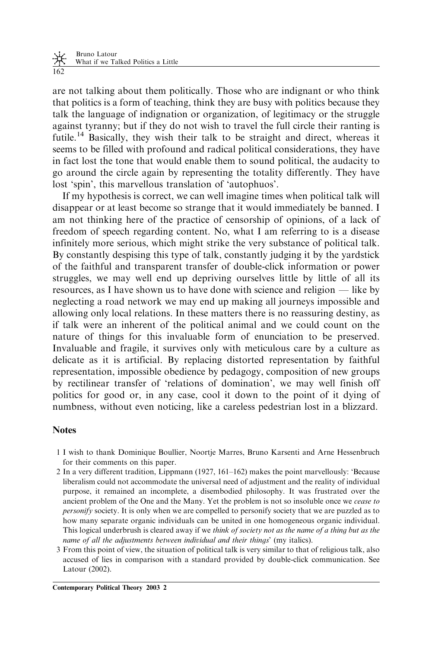are not talking about them politically. Those who are indignant or who think that politics is a form of teaching, think they are busy with politics because they talk the language of indignation or organization, of legitimacy or the struggle against tyranny; but if they do not wish to travel the full circle their ranting is futile.<sup>14</sup> Basically, they wish their talk to be straight and direct, whereas it seems to be filled with profound and radical political considerations, they have in fact lost the tone that would enable them to sound political, the audacity to go around the circle again by representing the totality differently. They have lost 'spin', this marvellous translation of 'autophuos'.

If my hypothesis is correct, we can well imagine times when political talk will disappear or at least become so strange that it would immediately be banned. I am not thinking here of the practice of censorship of opinions, of a lack of freedom of speech regarding content. No, what I am referring to is a disease infinitely more serious, which might strike the very substance of political talk. By constantly despising this type of talk, constantly judging it by the yardstick of the faithful and transparent transfer of double-click information or power struggles, we may well end up depriving ourselves little by little of all its resources, as I have shown us to have done with science and religion  $-$  like by neglecting a road network we may end up making all journeys impossible and allowing only local relations. In these matters there is no reassuring destiny, as if talk were an inherent of the political animal and we could count on the nature of things for this invaluable form of enunciation to be preserved. Invaluable and fragile, it survives only with meticulous care by a culture as delicate as it is artificial. By replacing distorted representation by faithful representation, impossible obedience by pedagogy, composition of new groups by rectilinear transfer of 'relations of domination', we may well finish off politics for good or, in any case, cool it down to the point of it dying of numbness, without even noticing, like a careless pedestrian lost in a blizzard.

#### Notes

- 1 I wish to thank Dominique Boullier, Noortje Marres, Bruno Karsenti and Arne Hessenbruch for their comments on this paper.
- 2 In a very different tradition, Lippmann (1927, 161–162) makes the point marvellously: 'Because liberalism could not accommodate the universal need of adjustment and the reality of individual purpose, it remained an incomplete, a disembodied philosophy. It was frustrated over the ancient problem of the One and the Many. Yet the problem is not so insoluble once we cease to personify society. It is only when we are compelled to personify society that we are puzzled as to how many separate organic individuals can be united in one homogeneous organic individual. This logical underbrush is cleared away if we think of society not as the name of a thing but as the name of all the adjustments between individual and their things' (my italics).
- 3 From this point of view, the situation of political talk is very similar to that of religious talk, also accused of lies in comparison with a standard provided by double-click communication. See Latour (2002).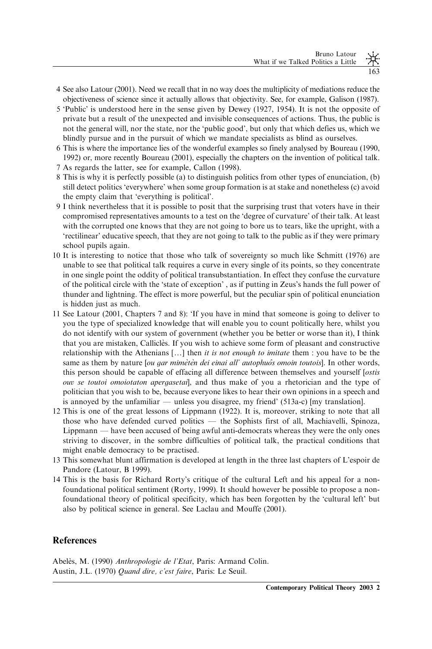- 4 See also Latour (2001). Need we recall that in no way does the multiplicity of mediations reduce the objectiveness of science since it actually allows that objectivity. See, for example, Galison (1987).
- 5 'Public' is understood here in the sense given by Dewey (1927, 1954). It is not the opposite of private but a result of the unexpected and invisible consequences of actions. Thus, the public is not the general will, nor the state, nor the 'public good', but only that which defies us, which we blindly pursue and in the pursuit of which we mandate specialists as blind as ourselves.
- 6 This is where the importance lies of the wonderful examples so finely analysed by Boureau (1990, 1992) or, more recently Boureau (2001), especially the chapters on the invention of political talk.
- 7 As regards the latter, see for example, Callon (1998).
- 8 This is why it is perfectly possible (a) to distinguish politics from other types of enunciation, (b) still detect politics 'everywhere' when some group formation is at stake and nonetheless (c) avoid the empty claim that 'everything is political'.
- 9 I think nevertheless that it is possible to posit that the surprising trust that voters have in their compromised representatives amounts to a test on the 'degree of curvature' of their talk. At least with the corrupted one knows that they are not going to bore us to tears, like the upright, with a 'rectilinear' educative speech, that they are not going to talk to the public as if they were primary school pupils again.
- 10 It is interesting to notice that those who talk of sovereignty so much like Schmitt (1976) are unable to see that political talk requires a curve in every single of its points, so they concentrate in one single point the oddity of political transubstantiation. In effect they confuse the curvature of the political circle with the 'state of exception' , as if putting in Zeus's hands the full power of thunder and lightning. The effect is more powerful, but the peculiar spin of political enunciation is hidden just as much.
- 11 See Latour (2001, Chapters 7 and 8): 'If you have in mind that someone is going to deliver to you the type of specialized knowledge that will enable you to count politically here, whilst you do not identify with our system of government (whether you be better or worse than it), I think that you are mistaken, Callicle`s. If you wish to achieve some form of pleasant and constructive relationship with the Athenians  $[...]$  then *it is not enough to imitate* them : you have to be the same as them by nature [ou gar mimète`n dei einai all' autophuôs omoin toutois]. In other words, this person should be capable of effacing all difference between themselves and yourself [ostis ouv se toutoi omoiotaton apergasetai], and thus make of you a rhetorician and the type of politician that you wish to be, because everyone likes to hear their own opinions in a speech and is annoyed by the unfamiliar  $-$  unless you disagree, my friend' (513a-c) [my translation].
- 12 This is one of the great lessons of Lippmann (1922). It is, moreover, striking to note that all those who have defended curved politics  $-$  the Sophists first of all, Machiavelli, Spinoza, Lippmann  $-$  have been accused of being awful anti-democrats whereas they were the only ones striving to discover, in the sombre difficulties of political talk, the practical conditions that might enable democracy to be practised.
- 13 This somewhat blunt affirmation is developed at length in the three last chapters of L'espoir de Pandore (Latour, B 1999).
- 14 This is the basis for Richard Rorty's critique of the cultural Left and his appeal for a nonfoundational political sentiment (Rorty, 1999). It should however be possible to propose a nonfoundational theory of political specificity, which has been forgotten by the 'cultural left' but also by political science in general. See Laclau and Mouffe (2001).

#### References

Abelès, M. (1990) Anthropologie de l'Etat, Paris: Armand Colin. Austin, J.L. (1970) Quand dire, c'est faire, Paris: Le Seuil.